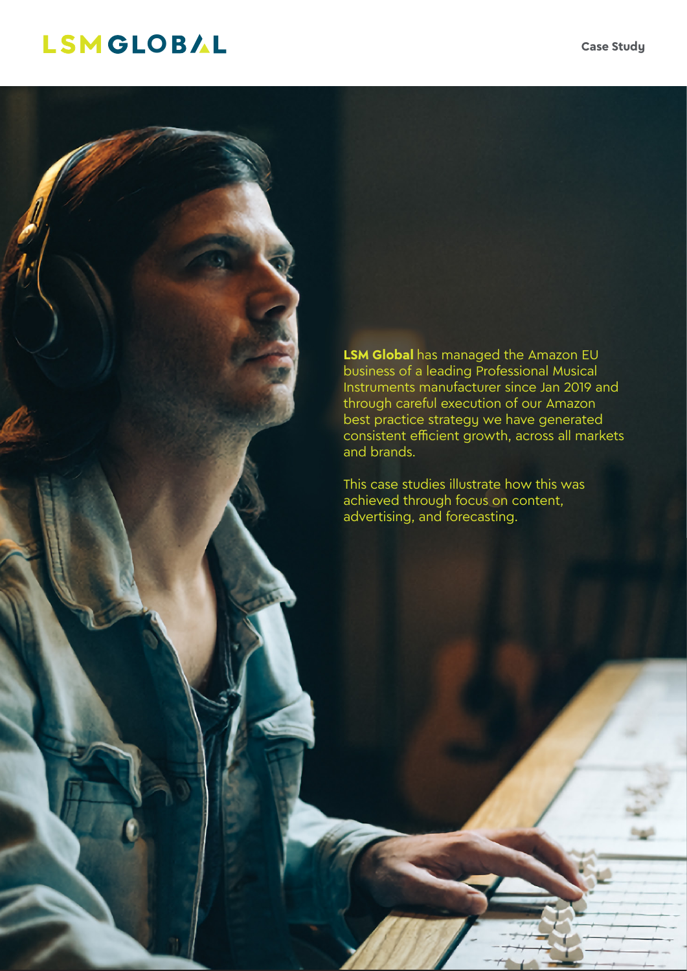# LSMGLOBAL

**LSM Global** has managed the Amazon EU business of a leading Professional Musical Instruments manufacturer since Jan 2019 and through careful execution of our Amazon best practice strategy we have generated consistent efficient growth, across all markets and brands.

This case studies illustrate how this was achieved through focus on content, advertising, and forecasting.